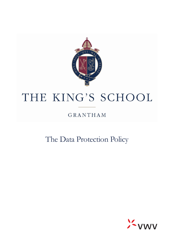

# THE KING'S SCHOOL

# GRANTHAM

The Data Protection Policy

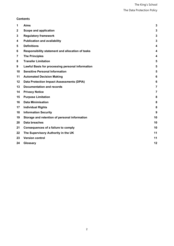# **Contents**

| 1                | <b>Aims</b>                                      | 3              |
|------------------|--------------------------------------------------|----------------|
| $\boldsymbol{2}$ | Scope and application                            | 3              |
| 3                | <b>Regulatory framework</b>                      | 3              |
| 4                | <b>Publication and availability</b>              | 3              |
| 5                | <b>Definitions</b>                               | 4              |
| 6                | Responsibility statement and allocation of tasks | 4              |
| 7                | <b>The Principles</b>                            | 4              |
| 8                | <b>Transfer Limitation</b>                       | 5              |
| 9                | Lawful Basis for processing personal information | 5              |
| 10               | <b>Sensitive Personal Information</b>            | 5              |
| 11               | <b>Automated Decision Making</b>                 | 6              |
| 12               | <b>Data Protection Impact Assessments (DPIA)</b> | 6              |
| 13               | <b>Documentation and records</b>                 | $\overline{7}$ |
| 14               | <b>Privacy Notice</b>                            | $\overline{7}$ |
| 15               | <b>Purpose Limitation</b>                        | 8              |
| 16               | <b>Data Minimisation</b>                         | 8              |
| 17               | <b>Individual Rights</b>                         | 8              |
| 18               | <b>Information Security</b>                      | 9              |
| 19               | Storage and retention of personal information    | 10             |
| 20               | <b>Data breaches</b>                             | 10             |
| 21               | <b>Consequences of a failure to comply</b>       | 10             |
| 22               | The Supervisory Authority in the UK              | 11             |
| 23               | <b>Version control</b>                           | 11             |
| 24               | Glossary                                         | 12             |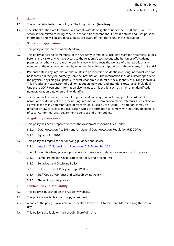#### <span id="page-2-0"></span>1 **Aims**

- 1.1 This is the Data Protection policy of The King's School (**Academy**).
- 1.2 The school as the Data Controller will comply with its obligations under the GDPR and DPA. The school is committed to being concise, clear and transparent about how it obtains and uses personal information and will ensure data subjects are aware of their rights under the legislation.

#### <span id="page-2-1"></span>2 **Scope and application**

- 2.1 This policy applies to the whole Academy.
- 2.2 This policy applies to all members of the Academy community, including staff and volunteers, pupils, Parents and visitors, who have access to the Academy's technology whether on or off Academy premises, or otherwise use technology in a way which affects the welfare of other pupils or any member of the Academy community or where the culture or reputation of the Academy is put at risk.
- 2.3 Personal data is any information that relates to an identified or identifiable living individual who can be identified directly or indirectly from the information. The information includes factors specific to the physical, physiological, genetic, mental, economic, cultural or social identity of a living individual. This includes any expression of opinion about an individual and intentions towards an individual. Under the GDPR personal information also includes an identifier such as a name, an identification number, location data or an online identifier.
- 2.4 The School collects a large amount of personal data every year including pupil records, staff records, names and addresses of those requesting information, examination marks, references, fee collection as well as the many different types of research data used by the School. In addition, it may be required by law to collect and use certain types of information to comply with statutory obligations of Local Authorities (LAs), government agencies and other bodies.

#### <span id="page-2-2"></span>3 **Regulatory framework**

- 3.1 This policy has been prepared to meet the Academy's responsibilities under:
	- 3.1.1 Data Protection Act 2018 and UK General Data Protection Regulation (UK GDPR);
	- 3.1.2 Equality Act 2010.
- 3.2 This policy has regard to the following guidance and advice:
	- 3.2.1 Keeping Children Safe in Education (DfE, [September](https://www.gov.uk/government/publications/keeping-children-safe-in-education--2) 2021)
- 3.3 The following Academy policies, procedures and resource materials are relevant to this policy:
	- 3.3.1 Safeguarding and Child Protection Policy and procedures;
	- 3.3.2 Behaviour and Discipline Policy;
	- 3.3.3 Risk assessment Policy for Pupil Welfare;
	- 3.3.4 Staff Code of Conduct and Whistleblowing Policy;
	- 3.3.5 The online safety policy

#### <span id="page-2-3"></span>4 **Publication and availability**

- 4.1 This policy is published on the Academy website.
- 4.2 This policy is available in hard copy on request.
- 4.3 A copy of the policy is available for inspection from the PA to the Head Master during the school day.
- 4.4 This policy is available on the school's SharePoint Site.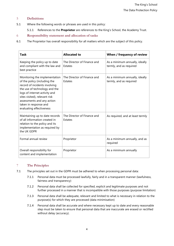# <span id="page-3-0"></span>5 **Definitions**

- 5.1 Where the following words or phrases are used in this policy:
	- 5.1.1 References to the **Proprietor** are references to the King's School, the Academy Trust.

# <span id="page-3-1"></span>6 **Responsibility statement and allocation of tasks**

6.1 The Proprietor has overall responsibility for all matters which are the subject of this policy.

| <b>Task</b>                                                                                                                                                                                                                                                                          | <b>Allocated to</b>                    | When / frequency of review                                |
|--------------------------------------------------------------------------------------------------------------------------------------------------------------------------------------------------------------------------------------------------------------------------------------|----------------------------------------|-----------------------------------------------------------|
| Keeping the policy up to date<br>and compliant with the law and<br>best practice                                                                                                                                                                                                     | The Director of Finance and<br>Estates | As a minimum annually, ideally<br>termly, and as required |
| Monitoring the implementation<br>of the policy (including the<br>record of incidents involving<br>the use of technology and the<br>logs of internet activity and<br>sites visited), relevant risk<br>assessments and any action<br>taken in response and<br>evaluating effectiveness | The Director of Finance and<br>Estates | As a minimum annually, ideally<br>termly, and as required |
| Maintaining up to date records<br>of all information created in<br>relation to the policy and its<br>implementation as required by<br>the UK GDPR                                                                                                                                    | The Director of Finance and<br>Estates | As required, and at least termly                          |
| Formal annual review                                                                                                                                                                                                                                                                 | Proprietor                             | As a minimum annually, and as<br>required                 |
| Overall responsibility for<br>content and implementation                                                                                                                                                                                                                             | Proprietor                             | As a minimum annually                                     |

# <span id="page-3-2"></span>7 **The Principles**

- 7.1 The principles set out in the GDPR must be adhered to when processing personal data:
	- 7.1.1 Personal data must be processed lawfully, fairly and in a transparent manner (lawfulness, fairness and transparency)
	- 7.1.2 Personal data shall be collected for specified, explicit and legitimate purposes and not further processed in a manner that is incompatible with those purposes (purpose limitation)
	- 7.1.3 Personal data shall be adequate, relevant and limited to what is necessary in relation to the purpose(s) for which they are processed (data minimisation)
	- 7.1.4 Personal data shall be accurate and where necessary kept up to date and every reasonable step must be taken to ensure that personal data that are inaccurate are erased or rectified without delay (accuracy).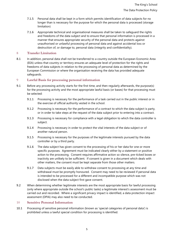- 7.1.5 Personal data shall be kept in a form which permits identification of data subjects for no longer than is necessary for the purpose for which the personal data is processed (storage limitation)
- 7.1.6 Appropriate technical and organisational measures shall be taken to safeguard the rights and freedoms of the data subject and to ensure that personal information is processed in a manner that ensures appropriate security of the personal data and protects against unauthorised or unlawful processing of personal data and against accidental loss or destruction of, or damage to, personal data (integrity and confidentiality).

#### <span id="page-4-0"></span>8 **Transfer Limitation**

8.1 In addition, personal data shall not be transferred to a country outside the European Economic Area (EEA) unless that country or territory ensures an adequate level of protection for the rights and freedoms of data subjects in relation to the processing of personal data as determined by the European Commission or where the organisation receiving the data has provided adequate safeguards.

#### <span id="page-4-1"></span>9 **Lawful Basis for processing personal information**

- 9.1 Before any processing activity starts for the first time, and then regularly afterwards, the purpose(s) for the processing activity and the most appropriate lawful basis (or bases) for that processing must be selected:
	- 9.1.1 Processing is necessary for the performance of a task carried out in the public interest or in the exercise of official authority vested in the school.
	- 9.1.2 Processing is necessary for the performance of a contract to which the data subject is party, or in order to take steps at the request of the data subject prior to entering into a contract.
	- 9.1.3 Processing is necessary for compliance with a legal obligation to which the data controller is subject.
	- 9.1.4 Processing is necessary in order to protect the vital interests of the data subject or of another natural person.
	- 9.1.5 Processing is necessary for the purposes of the legitimate interests pursued by the data controller or by a third party.
	- 9.1.6 The data subject has given consent to the processing of his or her data for one or more specific purposes. Agreement must be indicated clearly either by a statement or positive action to the processing. Consent requires affirmative action so silence, pre-ticked boxes or inactivity are unlikely to be sufficient. If consent is given in a document which deals with other matters, the consent must be kept separate from those other matters.
	- 9.1.7 Data subjects must be easily able to withdraw consent to processing at any time and withdrawal must be promptly honoured. Consent may need to be reviewed if personal data is intended to be processed for a different and incompatible purpose which was not disclosed when the data subject first gave consent.
- 9.2 When determining whether legitimate interests are the most appropriate basis for lawful processing (only where appropriate outside the school's public tasks) a legitimate interest's assessment must be carried out and recorded. Where a significant privacy impact is identified, a data protection impact assessment (DPIA) may also need to be conducted.

#### <span id="page-4-2"></span>10 **Sensitive Personal Information**

10.1 Processing of sensitive personal information (known as 'special categories of personal data') is prohibited unless a lawful special condition for processing is identified.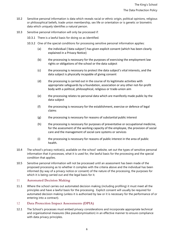- 10.2 Sensitive personal information is data which reveals racial or ethnic origin, political opinions, religious or philosophical beliefs, trade union membership, sex life or orientation or is genetic or biometric data which uniquely identifies a natural person.
- 10.3 Sensitive personal information will only be processed if:
	- 10.3.1 There is a lawful basis for doing so as identified.
	- 10.3.2 One of the special conditions for processing sensitive personal information applies:
		- (a) the individual ('data subject') has given explicit consent (which has been clearly explained in a Privacy Notice)
		- (b) the processing is necessary for the purposes of exercising the employment law rights or obligations of the school or the data subject
		- (c) the processing is necessary to protect the data subject's vital interests, and the data subject is physically incapable of giving consent
		- (d) the processing is carried out in the course of its legitimate activities with appropriate safeguards by a foundation, association or any other not-for-profit body with a political, philosophical, religious or trade-union aim
		- (e) the processing relates to personal data which are manifestly made public by the data subject
		- (f) the processing is necessary for the establishment, exercise or defence of legal claims
		- (g) the processing is necessary for reasons of substantial public interest
		- (h) the processing is necessary for purposes of preventative or occupational medicine, for the assessment of the working capacity of the employee, the provision of social care and the management of social care systems or services
		- (i) the processing is necessary for reasons of public interest in the area of public health.
- 10.4 The school's privacy notice(s), available on the school' website, set out the types of sensitive personal information that it processes, what it is used for, the lawful basis for the processing and the special condition that applies.
- 10.5 Sensitive personal information will not be processed until an assessment has been made of the proposed processing as to whether it complies with the criteria above and the individual has been informed (by way of a privacy notice or consent) of the nature of the processing, the purposes for which it is being carried out and the legal basis for it.

#### <span id="page-5-0"></span>11 **Automated Decision Making**

11.1 Where the school carries out automated decision making (including profiling) it must meet all the principles and have a lawful basis for the processing. Explicit consent will usually be required for automated decision making (unless it is authorised by law or it is necessary for the performance of or entering into a contract).

#### <span id="page-5-1"></span>12 **Data Protection Impact Assessments (DPIA)**

12.1 The School's processes must embed privacy considerations and incorporate appropriate technical and organisational measures (like pseudonymisation) in an effective manner to ensure compliance with data privacy principles.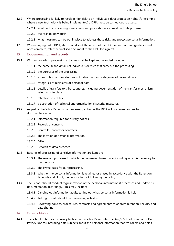- 12.2 Where processing is likely to result in high risk to an individual's data protection rights (for example where a new technology is being implemented) a DPIA must be carried out to assess:
	- 12.2.1 whether the processing is necessary and proportionate in relation to its purpose
	- 12.2.2 the risks to individuals
	- 12.2.3 what measures can be put in place to address those risks and protect personal information.
- 12.3 When carrying out a DPIA, staff should seek the advice of the DPO for support and guidance and once complete, refer the finalised document to the DPO for sign off.

#### <span id="page-6-0"></span>13 **Documentation and records**

- 13.1 Written records of processing activities must be kept and recorded including:
	- 13.1.1 the name(s) and details of individuals or roles that carry out the processing
	- 13.1.2 the purposes of the processing
	- 13.1.3 a description of the categories of individuals and categories of personal data
	- 13.1.4 categories of recipients of personal data
	- 13.1.5 details of transfers to third countries, including documentation of the transfer mechanism safeguards in place
	- 13.1.6 retention schedules
	- 13.1.7 a description of technical and organisational security measures.
- 13.2 As part of the School's record of processing activities the DPO will document, or link to documentation on:
	- 13.2.1 Information required for privacy notices.
	- 13.2.2 Records of consent.
	- 13.2.3 Controller-processor contracts.
	- 13.2.4 The location of personal information.
	- 13.2.5 DPIA.
	- 13.2.6 Records of data breaches.
- 13.3 Records of processing of sensitive information are kept on:
	- 13.3.1 The relevant purposes for which the processing takes place, including why it is necessary for that purpose.
	- 13.3.2 The lawful basis for our processing.
	- 13.3.3 Whether the personal information is retained or erased in accordance with the Retention Schedule and, if not, the reasons for not following the policy.
- 13.4 The School should conduct regular reviews of the personal information it processes and update its documentation accordingly. This may include:
	- 13.4.1 Carrying out information audits to find out what personal information is held.
	- 13.4.2 Talking to staff about their processing activities.
	- 13.4.3 Reviewing policies, procedures, contracts and agreements to address retention, security and data sharing.

#### <span id="page-6-1"></span>14 **Privacy Notice**

14.1 The school publishes its Privacy Notice on the school's website, The King's School Grantham - Data Privacy Notices informing data subjects about the personal information that we collect and holds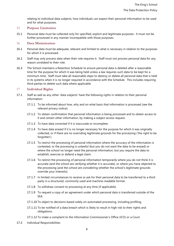relating to individual data subjects, how individuals can expect their personal information to be used and for what purposes.

#### <span id="page-7-0"></span>15 **Purpose Limitation**

15.1 Personal data must be collected only for specified, explicit and legitimate purposes. It must not be further processed in any manner incompatible with those purposes.

#### <span id="page-7-1"></span>16 **Data Minimisation**

- 16.1 Personal data must be adequate, relevant and limited to what is necessary in relation to the purposes for which it is processed.
- 16.2 Staff may only process data when their role requires it. Staff must not process personal data for any reason unrelated to their role.
- 16.3 The School maintains a Retention Schedule to ensure personal data is deleted after a reasonable time for the purpose for which it was being held unless a law requires such data to be kept for a minimum time. Staff must take all reasonable steps to destroy or delete all personal data that is held in its systems when it is no longer required in accordance with the Schedule. This includes requiring third parties to delete such data where applicable.

#### <span id="page-7-2"></span>17 **Individual Rights**

- 17.1 Staff as well as any other 'data subjects' have the following rights in relation to their personal information:
	- 17.1.1 To be informed about how, why and on what basis that information is processed (see the relevant privacy notice).
	- 17.1.2 To obtain confirmation that personal information is being processed and to obtain access to it and certain other information, by making a subject access request.
	- 17.1.3 To have data corrected if it is inaccurate or incomplete.
	- 17.1.4 To have data erased if it is no longer necessary for the purpose for which it was originally collected, or if there are no overriding legitimate grounds for the processing ('the right to be forgotten').
	- 17.1.5 To restrict the processing of personal information where the accuracy of the information is contested, or the processing is unlawful (but you do not want the data to be erased) or where the school no longer need the personal information, but you require the data to establish, exercise or defend a legal claim.
	- 17.1.6 To restrict the processing of personal information temporarily where you do not think it is accurate (and the school are verifying whether it is accurate), or where you have objected to the processing (and the school are considering whether the school's legitimate grounds override your interests).
	- 17.1.7 In limited circumstances to receive or ask for their personal data to be transferred to a third party in a structured, commonly used and machine-readable format.
	- 17.1.8 To withdraw consent to processing at any time (if applicable).
	- 17.1.9 To request a copy of an agreement under which personal data is transferred outside of the EEA.
	- 17.1.10 To object to decisions based solely on automated processing, including profiling.
	- 17.1.11 To be notified of a data breach which is likely to result in high risk to their rights and obligations.
	- 17.1.12 To make a complaint to the Information Commissioner's Office (ICO) or a Court.
- 17.2 Individual Responsibilities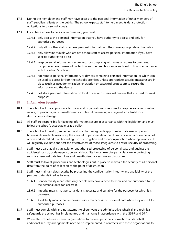- 17.3 During their employment, staff may have access to the personal information of other members of staff, suppliers, clients or the public. The school expects staff to help meet its data protection obligations to those individuals.
- 17.4 If you have access to personal information, you must:
	- 17.4.1 only access the personal information that you have authority to access and only for authorised purposes
	- 17.4.2 only allow other staff to access personal information if they have appropriate authorisation
	- 17.4.3 only allow individuals who are not school staff to access personal information if you have specific authority to do so
	- 17.4.4 keep personal information secure (e.g. by complying with rules on access to premises, computer access, password protection and secure file storage and destruction in accordance with the school's policies)
	- 17.4.5 not remove personal information, or devices containing personal information (or which can be used to access it) from the school's premises unless appropriate security measures are in place (such as pseudonymisation, encryption or password protection) to secure the information and the device
	- 17.4.6 not store personal information on local drives or on personal devices that are used for work purposes

#### <span id="page-8-0"></span>18 **Information Security**

- 18.1 The school will use appropriate technical and organisational measures to keep personal information secure, to protect against unauthorised or unlawful processing and against accidental loss, destruction or damage.
- 18.2 All staff are responsible for keeping information secure in accordance with the legislation and must follow the school's acceptable usage policy.
- 18.3 The school will develop, implement and maintain safeguards appropriate to its size, scope and business, its available resources, the amount of personal data that it owns or maintains on behalf of others and identified risks (including use of encryption and pseudonymisation where applicable). It will regularly evaluate and test the effectiveness of those safeguards to ensure security of processing.
- 18.4 Staff must guard against unlawful or unauthorised processing of personal data and against the accidental loss of, or damage to, personal data. Staff must exercise particular care in protecting sensitive personal data from loss and unauthorised access, use or disclosure.
- 18.5 Staff must follow all procedures and technologies put in place to maintain the security of all personal data from the point of collection to the point of destruction.
- 18.6 Staff must maintain data security by protecting the confidentiality, integrity and availability of the personal data, defined as follows:
	- 18.6.1 Confidentiality means that only people who have a need to know and are authorised to use the personal data can access it.
	- 18.6.2 Integrity means that personal data is accurate and suitable for the purpose for which it is processed.
	- 18.6.3 Availability means that authorised users can access the personal data when they need it for authorised purposes.
- 18.7 Staff must comply with and not attempt to circumvent the administrative, physical and technical safeguards the school has implemented and maintains in accordance with the GDPR and DPA.
- 18.8 Where the school uses external organisations to process personal information on its behalf, additional security arrangements need to be implemented in contracts with those organisations to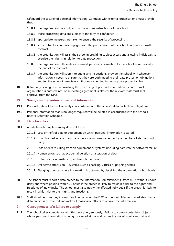safeguard the security of personal information. Contracts with external organisations must provide that:

- 18.8.1 the organisation may only act on the written instructions of the school
- 18.8.2 those processing data are subject to the duty of confidence
- 18.8.3 appropriate measures are taken to ensure the security of processing
- 18.8.4 sub-contractors are only engaged with the prior consent of the school and under a written contract
- 18.8.5 the organisation will assist the school in providing subject access and allowing individuals to exercise their rights in relation to data protection
- 18.8.6 the organisation will delete or return all personal information to the school as requested at the end of the contract
- 18.8.7 the organisation will submit to audits and inspections, provide the school with whatever information it needs to ensure that they are both meeting their data protection obligations, and tell the school immediately if it does something infringing data protection law.
- 18.9 Before any new agreement involving the processing of personal information by an external organisation is entered into, or an existing agreement is altered, the relevant staff must seek approval from the DPO.

#### <span id="page-9-0"></span>19 **Storage and retention of personal information**

- 19.1 Personal data will be kept securely in accordance with the school's data protection obligations.
- 19.2 Personal information that is no longer required will be deleted in accordance with the Schools Record Retention Schedule.

#### <span id="page-9-1"></span>20 **Data breaches**

- 20.1 A data breach may take many different forms:
	- 20.1.1 Loss or theft of data or equipment on which personal information is stored
	- 20.1.2 Unauthorised access to or use of personal information either by a member of staff or third party
	- 20.1.3 Loss of data resulting from an equipment or systems (including hardware or software) failure
	- 20.1.4 Human error, such as accidental deletion or alteration of data
	- 20.1.5 Unforeseen circumstances, such as a fire or flood
	- 20.1.6 Deliberate attacks on IT systems, such as hacking, viruses or phishing scams
	- 20.1.7 Blagging offences where information is obtained by deceiving the organisation which holds it
- 20.2 The school must report a data breach to the Information Commissioner's Office (ICO) without undue delay and where possible within 72 hours if the breach is likely to result in a risk to the rights and freedoms of individuals. The school must also notify the affected individuals if the breach is likely to result in a high risk to their rights and freedoms.
- 20.3 Staff should ensure they inform their line manager, the DPO or the Head Master immediately that a data breach is discovered and make all reasonable efforts to recover the information.
- <span id="page-9-2"></span>21 **Consequences of a failure to comply**
- 21.1 The school takes compliance with this policy very seriously. Failure to comply puts data subjects whose personal information is being processed at risk and carries the risk of significant civil and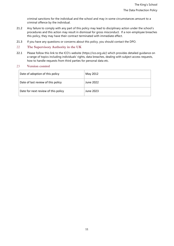criminal sanctions for the individual and the school and may in some circumstances amount to a criminal offence by the individual.

- 21.2 Any failure to comply with any part of this policy may lead to disciplinary action under the school's procedures and this action may result in dismissal for gross misconduct. If a non-employee breaches this policy, they may have their contract terminated with immediate effect.
- 21.3 If you have any questions or concerns about this policy, you should contact the DPO.

#### <span id="page-10-0"></span>22 **The Supervisory Authority in the UK**

22.1 Please follow this link to the ICO's website (https://ico.org.uk/) which provides detailed guidance on a range of topics including individuals' rights, data breaches, dealing with subject access requests, how to handle requests from third parties for personal data etc.

#### <span id="page-10-1"></span>23 **Version control**

| Date of adoption of this policy     | May 2012  |
|-------------------------------------|-----------|
| Date of last review of this policy  | June 2022 |
| Date for next review of this policy | June 2023 |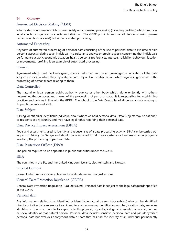# <span id="page-11-0"></span>24 **Glossary**

# Automated Decision-Making (ADM)

When a decision is made which is based solely on automated processing (including profiling) which produces legal effects or significantly affects an individual. The GDPR prohibits automated decision-making (unless certain conditions are met) but not automated processing.

# Automated Processing

Any form of automated processing of personal data consisting of the use of personal data to evaluate certain personal aspects relating to an individual, in particular to analyse or predict aspects concerning that individual's performance at work, economic situation, health, personal preferences, interests, reliability, behaviour, location or movements. profiling is an example of automated processing.

#### Consent

Agreement which must be freely given, specific, informed and be an unambiguous indication of the data subject's wishes by which they, by a statement or by a clear positive action, which signifies agreement to the processing of personal data relating to them.

# Data Controller

The natural or legal person, public authority, agency or other body which, alone or jointly with others, determines the purposes and means of the processing of personal data. It is responsible for establishing practices and policies in line with the GDPR. The school is the Data Controller of all personal data relating to its pupils, parents and staff.

# Data Subject

A living identified or identifiable individual about whom we hold personal data. Data Subjects may be nationals or residents of any country and may have legal rights regarding their personal data.

#### Data Privacy Impact Assessment (DPIA)

Tools and assessments used to identify and reduce risks of a data processing activity. DPIA can be carried out as part of Privacy by Design and should be conducted for all major systems or business change programs involving the processing of personal data.

#### Data Protection Officer (DPO)

The person required to be appointed in public authorities under the GDPR.

#### EEA

The countries in the EU, and the United Kingdom, Iceland, Liechtenstein and Norway.

#### Explicit Consent

Consent which requires a very clear and specific statement (not just action).

#### General Data Protection Regulation (GDPR)

General Data Protection Regulation ((EU) 2016/679). Personal data is subject to the legal safeguards specified in the GDPR.

#### Personal data

Any information relating to an identified or identifiable natural person (data subject) who can be identified, directly or indirectly by reference to an identifier such as a name, identification number, location data, an online identifier or to one or more factors specific to the physical, physiological, genetic, mental, economic, cultural or social identity of that natural person. Personal data includes sensitive personal data and pseudonymised personal data but excludes anonymous data or data that has had the identity of an individual permanently